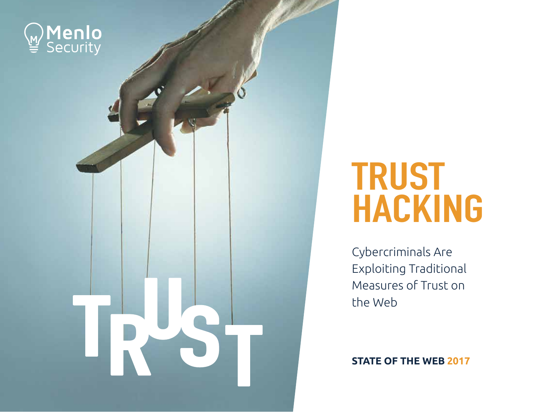

## TRUST **HACKING**

Cybercriminals Are Exploiting Traditional Measures of Trust on the Web

**STATE OF THE WEB 2017**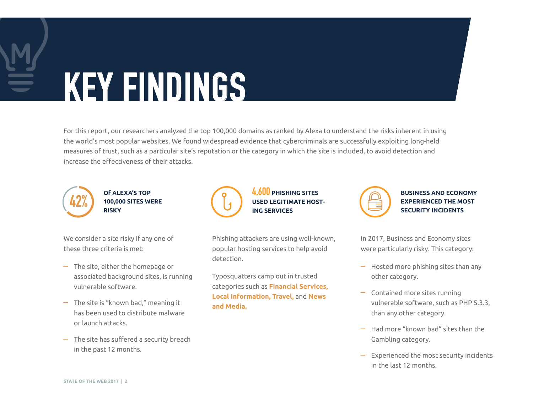# KEY FINDINGS

For this report, our researchers analyzed the top 100,000 domains as ranked by Alexa to understand the risks inherent in using the world's most popular websites. We found widespread evidence that cybercriminals are successfully exploiting long-held measures of trust, such as a particular site's reputation or the category in which the site is included, to avoid detection and increase the effectiveness of their attacks.



**Of ALEXA'S TOP 100,000 SITES WERE RISKY**

We consider a site risky if any one of these three criteria is met:

- $-$  The site, either the homepage or associated background sites, is running vulnerable software.
- $-$  The site is "known bad," meaning it has been used to distribute malware or launch attacks.
- $-$  The site has suffered a security breach in the past 12 months.

Phishing attackers are using well-known, popular hosting services to help avoid detection.

**ING SERVICES**

4,600 **PHISHING SITES USED LEGITIMATE HOST-**

Typosquatters camp out in trusted categories such as **Financial Services, Local Information, Travel,** and **News and Media.**



**BUSINESS AND ECONOMY EXPERIENCED THE MOST SECURITY INCIDENTS** 

In 2017, Business and Economy sites were particularly risky. This category:

- $-$  Hosted more phishing sites than any other category.
- $\overline{\phantom{a}}$  Contained more sites running vulnerable software, such as PHP 5.3.3, than any other category.
- $-$  Had more "known bad" sites than the Gambling category.
- $\overline{z}$  Experienced the most security incidents in the last 12 months.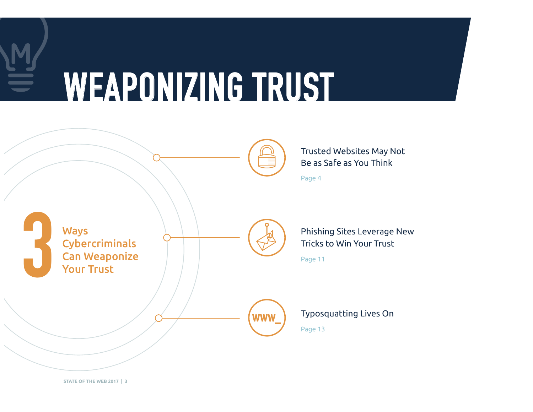# WEAPONIZING TRUST



**STATE OF THE WEB 2017 | 3**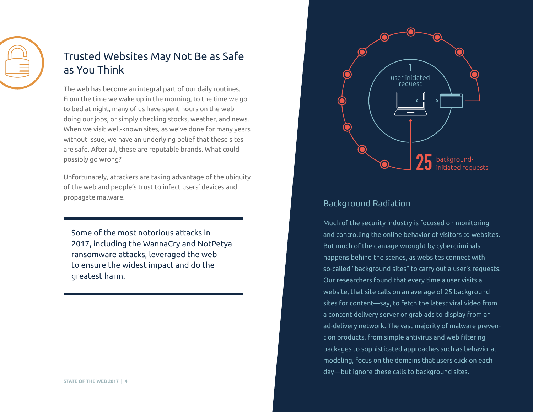

### Trusted Websites May Not Be as Safe as You Think

The web has become an integral part of our daily routines. From the time we wake up in the morning, to the time we go to bed at night, many of us have spent hours on the web doing our jobs, or simply checking stocks, weather, and news. When we visit well-known sites, as we've done for many years without issue, we have an underlying belief that these sites are safe. After all, these are reputable brands. What could possibly go wrong?

Unfortunately, attackers are taking advantage of the ubiquity of the web and people's trust to infect users' devices and propagate malware.

Some of the most notorious attacks in 2017, including the WannaCry and NotPetya ransomware attacks, leveraged the web to ensure the widest impact and do the greatest harm.



#### Background Radiation

Much of the security industry is focused on monitoring and controlling the online behavior of visitors to websites. But much of the damage wrought by cybercriminals happens behind the scenes, as websites connect with so-called "background sites" to carry out a user's requests. Our researchers found that every time a user visits a website, that site calls on an average of 25 background sites for content—say, to fetch the latest viral video from a content delivery server or grab ads to display from an ad-delivery network. The vast majority of malware prevention products, from simple antivirus and web filtering packages to sophisticated approaches such as behavioral modeling, focus on the domains that users click on each day—but ignore these calls to background sites.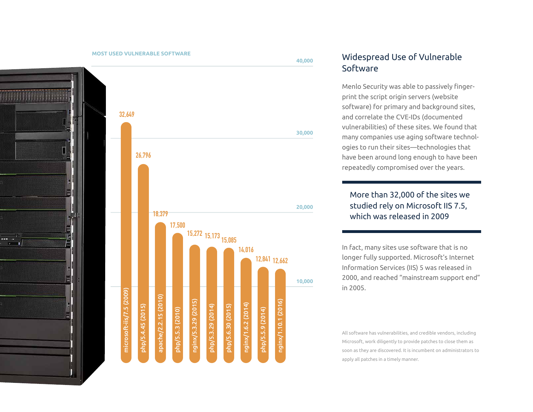

#### Widespread Use of Vulnerable Software

Menlo Security was able to passively fingerprint the script origin servers (website software) for primary and background sites, and correlate the CVE-IDs (documented vulnerabilities) of these sites. We found that many companies use aging software technologies to run their sites—technologies that have been around long enough to have been repeatedly compromised over the years.

#### More than 32,000 of the sites we studied rely on Microsoft IIS 7.5, which was released in 2009

In fact, many sites use software that is no longer fully supported. Microsoft's Internet Information Services (IIS) 5 was released in 2000, and reached "mainstream support end" in 2005.

All software has vulnerabilities, and credible vendors, including Microsoft, work diligently to provide patches to close them as soon as they are discovered. It is incumbent on administrators to apply all patches in a timely manner.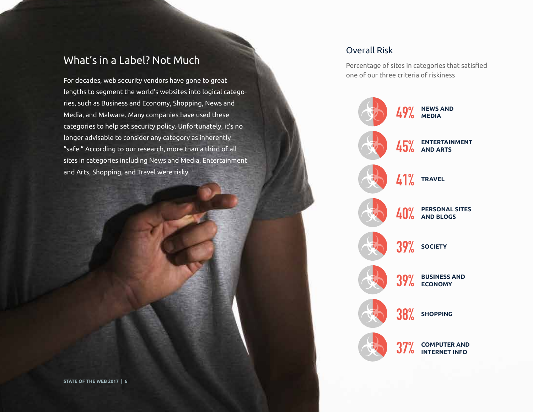### What's in a Label? Not Much

For decades, web security vendors have gone to great lengths to segment the world's websites into logical categories, such as Business and Economy, Shopping, News and Media, and Malware. Many companies have used these categories to help set security policy. Unfortunately, it's no longer advisable to consider any category as inherently "safe." According to our research, more than a third of all sites in categories including News and Media, Entertainment and Arts, Shopping, and Travel were risky.

#### Overall Risk

Percentage of sites in categories that satisfied one of our three criteria of riskiness

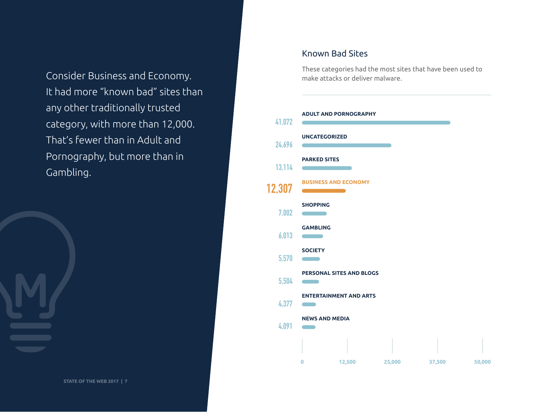Consider Business and Economy. It had more "known bad" sites than any other traditionally trusted category, with more than 12,000. That's fewer than in Adult and Pornography, but more than in Gambling.

## Known Bad Sites

These categories had the most sites that have been used to make attacks or deliver malware.

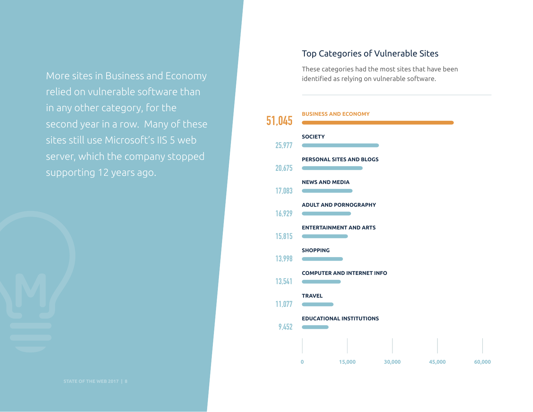More sites in Business and Economy relied on vulnerable software than in any other category, for the second year in a row. Many of these sites still use Microsoft's IIS 5 web server, which the company stopped supporting 12 years ago.

#### Top Categories of Vulnerable Sites

These categories had the most sites that have been identified as relying on vulnerable software.

#### **BUSINESS AND ECONOMY**

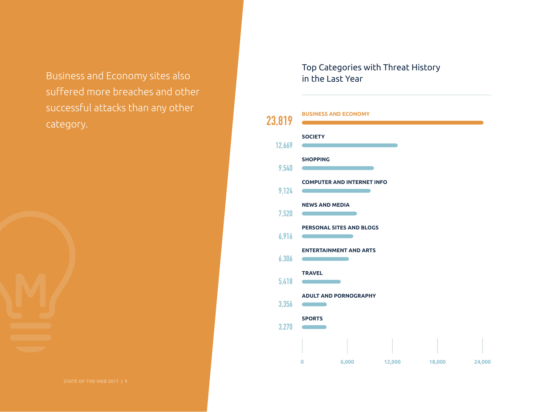suffered more breaches and other successful attacks than any other category.

Top Categories with Threat History Business and Economy sites also in the Last Year

#### **BUSINESS AND ECONOMY** 23,819 **SOCIETY** 12,669 **SHOPPING** 9,540 **COMPUTER AND INTERNET INFO** 9,124 **NEWS AND MEDIA** 7,520 and the state of the state of the state **PERSONAL SITES AND BLOGS** 6,916 **Contract ENTERTAINMENT AND ARTS** 6.306 **Contract** <u> The Common State Common Sta</u> **TRAVEL** 5,418  $\sim$ **ADULT AND PORNOGRAPHY** 3,356 **Contract Contract SPORTS** 3,270 **Contract Contract 0 6,000 12,000 18,000 24,000**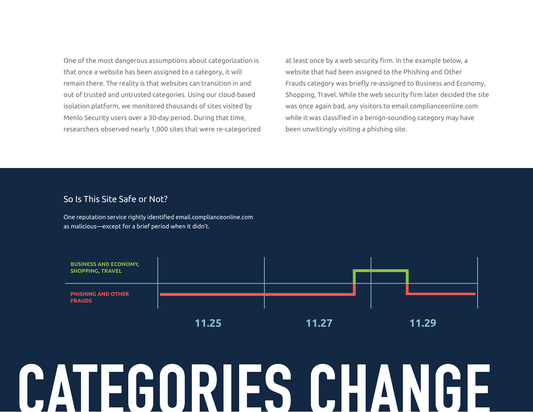One of the most dangerous assumptions about categorization is that once a website has been assigned to a category, it will remain there. The reality is that websites can transition in and out of trusted and untrusted categories. Using our cloud-based isolation platform, we monitored thousands of sites visited by Menlo Security users over a 30-day period. During that time, researchers observed nearly 1,000 sites that were re-categorized

at least once by a web security firm. In the example below, a website that had been assigned to the Phishing and Other Frauds category was briefly re-assigned to Business and Economy, Shopping, Travel. While the web security firm later decided the site was once again bad, any visitors to email.complianceonline.com while it was classified in a benign-sounding category may have been unwittingly visiting a phishing site.

#### So Is This Site Safe or Not?

One reputation service rightly identified email.complianceonline.com as malicious—except for a brief period when it didn't.



# LEGURIES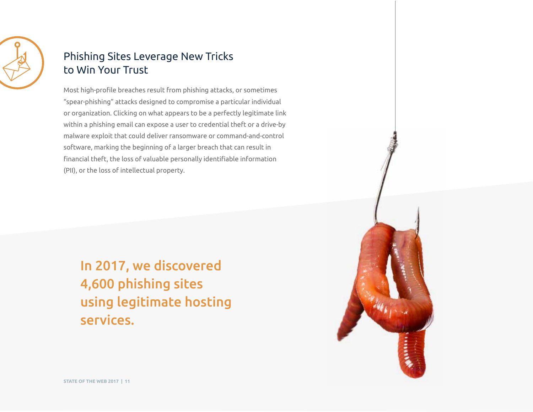

### Phishing Sites Leverage New Tricks to Win Your Trust

Most high-profile breaches result from phishing attacks, or sometimes "spear-phishing" attacks designed to compromise a particular individual or organization. Clicking on what appears to be a perfectly legitimate link within a phishing email can expose a user to credential theft or a drive-by malware exploit that could deliver ransomware or command-and-control software, marking the beginning of a larger breach that can result in financial theft, the loss of valuable personally identifiable information (PII), or the loss of intellectual property.

In 2017, we discovered 4,600 phishing sites using legitimate hosting services.

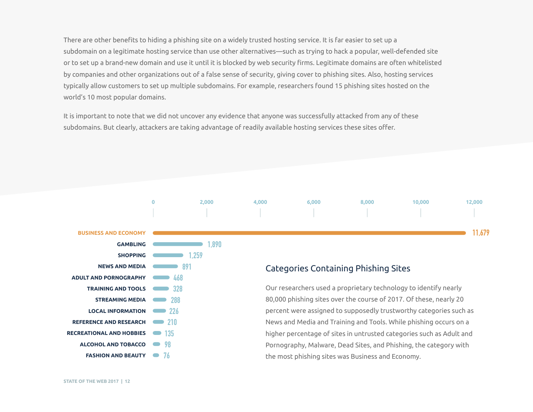There are other benefits to hiding a phishing site on a widely trusted hosting service. It is far easier to set up a subdomain on a legitimate hosting service than use other alternatives—such as trying to hack a popular, well-defended site or to set up a brand-new domain and use it until it is blocked by web security firms. Legitimate domains are often whitelisted by companies and other organizations out of a false sense of security, giving cover to phishing sites. Also, hosting services typically allow customers to set up multiple subdomains. For example, researchers found 15 phishing sites hosted on the world's 10 most popular domains.

It is important to note that we did not uncover any evidence that anyone was successfully attacked from any of these subdomains. But clearly, attackers are taking advantage of readily available hosting services these sites offer.

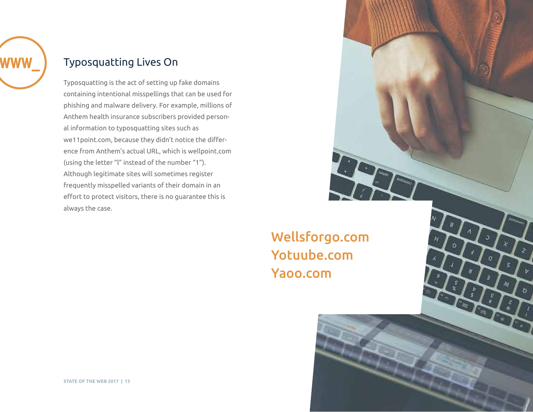

### Typosquatting Lives On

Typosquatting is the act of setting up fake domains containing intentional misspellings that can be used for phishing and malware delivery. For example, millions of Anthem health insurance subscribers provided personal information to typosquatting sites such as we11point.com, because they didn't notice the difference from Anthem's actual URL, which is wellpoint.com (using the letter "l" instead of the number "1"). Although legitimate sites will sometimes register frequently misspelled variants of their domain in an effort to protect visitors, there is no guarantee this is always the case.

> Wellsforgo.com Yotuube.com Yaoo.com

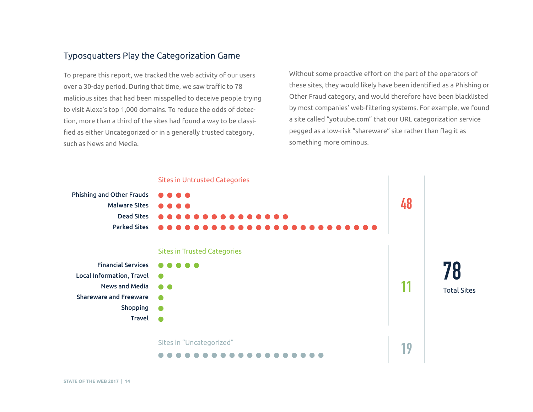#### Typosquatters Play the Categorization Game

To prepare this report, we tracked the web activity of our users over a 30-day period. During that time, we saw traffic to 78 malicious sites that had been misspelled to deceive people trying to visit Alexa's top 1,000 domains. To reduce the odds of detection, more than a third of the sites had found a way to be classified as either Uncategorized or in a generally trusted category, such as News and Media.

Without some proactive effort on the part of the operators of these sites, they would likely have been identified as a Phishing or Other Fraud category, and would therefore have been blacklisted by most companies' web-filtering systems. For example, we found a site called "yotuube.com" that our URL categorization service pegged as a low-risk "shareware" site rather than flag it as something more ominous.

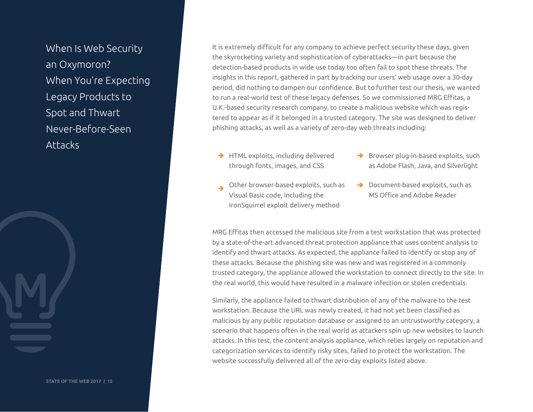When Is Web Security an Oxymoron? When You're Expecting Legacy Products to Spot and Thwart Never-Before-Seen Attacks

It is extremely difficult for any company to achieve perfect security these days, given the skyrocketing variety and sophistication of cyberattacks—in part because the detection-based products in wide use today too often fail to spot these threats. The insights in this report, gathered in part by tracking our users' web usage over a 30-day period, did nothing to dampen our confidence. But to further test our thesis, we wanted to run a real-world test of these legacy defenses. So we commissioned MRG Effitas, a U.K.-based security research company, to create a malicious website which was registered to appear as if it belonged in a trusted category. The site was designed to deliver phishing attacks, as well as a variety of zero-day web threats including:

- $\rightarrow$  HTML exploits, including delivered through fonts, images, and CSS
- $\rightarrow$  Browser plug-in-based exploits, such as Adobe Flash, Java, and Silverlight
- Other browser-based exploits, such as Visual Basic code, including the IronSquirrel exploit delivery method
- → Document-based exploits, such as MS Office and Adobe Reader

MRG Effitas then accessed the malicious site from a test workstation that was protected by a state-of-the-art advanced threat protection appliance that uses content analysis to identify and thwart attacks. As expected, the appliance failed to identify or stop any of these attacks. Because the phishing site was new and was registered in a commonly trusted category, the appliance allowed the workstation to connect directly to the site. In the real world, this would have resulted in a malware infection or stolen credentials.

Similarly, the appliance failed to thwart distribution of any of the malware to the test workstation. Because the URL was newly created, it had not yet been classified as malicious by any public reputation database or assigned to an untrustworthy category, a scenario that happens often in the real world as attackers spin up new websites to launch attacks. In this test, the content analysis appliance, which relies largely on reputation and categorization services to identify risky sites, failed to protect the workstation. The website successfully delivered all of the zero-day exploits listed above.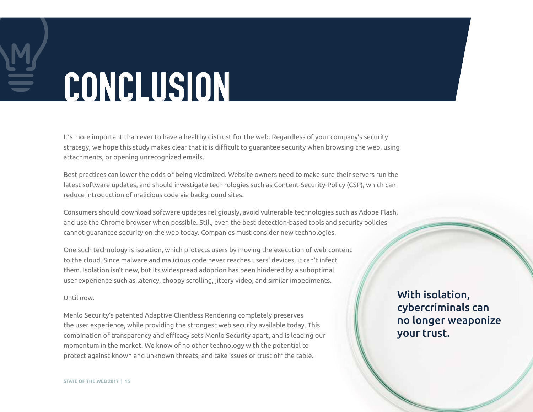# CONCLUSION

It's more important than ever to have a healthy distrust for the web. Regardless of your company's security strategy, we hope this study makes clear that it is difficult to guarantee security when browsing the web, using attachments, or opening unrecognized emails.

Best practices can lower the odds of being victimized. Website owners need to make sure their servers run the latest software updates, and should investigate technologies such as Content-Security-Policy (CSP), which can reduce introduction of malicious code via background sites.

Consumers should download software updates religiously, avoid vulnerable technologies such as Adobe Flash, and use the Chrome browser when possible. Still, even the best detection-based tools and security policies cannot guarantee security on the web today. Companies must consider new technologies.

One such technology is isolation, which protects users by moving the execution of web content to the cloud. Since malware and malicious code never reaches users' devices, it can't infect them. Isolation isn't new, but its widespread adoption has been hindered by a suboptimal user experience such as latency, choppy scrolling, jittery video, and similar impediments.

#### Until now.

Menlo Security's patented Adaptive Clientless Rendering completely preserves the user experience, while providing the strongest web security available today. This combination of transparency and efficacy sets Menlo Security apart, and is leading our momentum in the market. We know of no other technology with the potential to protect against known and unknown threats, and take issues of trust off the table.

With isolation, cybercriminals can no longer weaponize your trust.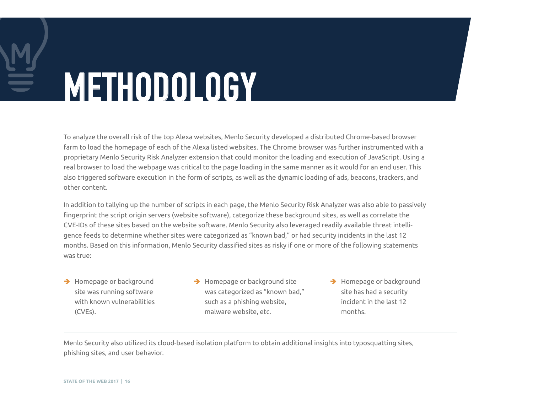# METHODOLOGY

To analyze the overall risk of the top Alexa websites, Menlo Security developed a distributed Chrome-based browser farm to load the homepage of each of the Alexa listed websites. The Chrome browser was further instrumented with a proprietary Menlo Security Risk Analyzer extension that could monitor the loading and execution of JavaScript. Using a real browser to load the webpage was critical to the page loading in the same manner as it would for an end user. This also triggered software execution in the form of scripts, as well as the dynamic loading of ads, beacons, trackers, and other content.

In addition to tallying up the number of scripts in each page, the Menlo Security Risk Analyzer was also able to passively fingerprint the script origin servers (website software), categorize these background sites, as well as correlate the CVE-IDs of these sites based on the website software. Menlo Security also leveraged readily available threat intelligence feeds to determine whether sites were categorized as "known bad," or had security incidents in the last 12 months. Based on this information, Menlo Security classified sites as risky if one or more of the following statements was true:

- → Homepage or background site was running software with known vulnerabilities (CVEs).
- $\rightarrow$  Homepage or background site was categorized as "known bad," such as a phishing website, malware website, etc.
- → Homepage or background site has had a security incident in the last 12 months.

Menlo Security also utilized its cloud-based isolation platform to obtain additional insights into typosquatting sites, phishing sites, and user behavior.